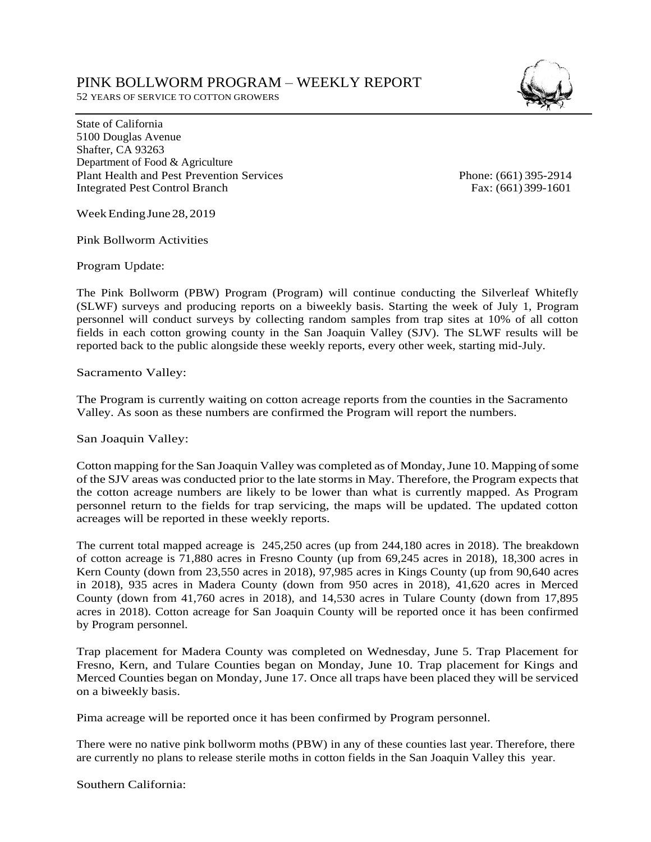## PINK BOLLWORM PROGRAM – WEEKLY REPORT

52 YEARS OF SERVICE TO COTTON GROWERS

State of California 5100 Douglas Avenue Shafter, CA 93263 Department of Food & Agriculture Plant Health and Pest Prevention Services Phone: (661) 395-2914 Integrated Pest Control Branch Fax: (661) 399-1601

Week Ending June 28, 2019

Pink Bollworm Activities

Program Update:

The Pink Bollworm (PBW) Program (Program) will continue conducting the Silverleaf Whitefly (SLWF) surveys and producing reports on a biweekly basis. Starting the week of July 1, Program personnel will conduct surveys by collecting random samples from trap sites at 10% of all cotton fields in each cotton growing county in the San Joaquin Valley (SJV). The SLWF results will be reported back to the public alongside these weekly reports, every other week, starting mid-July.

Sacramento Valley:

The Program is currently waiting on cotton acreage reports from the counties in the Sacramento Valley. As soon as these numbers are confirmed the Program will report the numbers.

San Joaquin Valley:

Cotton mapping for the San Joaquin Valley was completed as of Monday, June 10. Mapping of some of the SJV areas was conducted prior to the late storms in May. Therefore, the Program expects that the cotton acreage numbers are likely to be lower than what is currently mapped. As Program personnel return to the fields for trap servicing, the maps will be updated. The updated cotton acreages will be reported in these weekly reports.

The current total mapped acreage is 245,250 acres (up from 244,180 acres in 2018). The breakdown of cotton acreage is 71,880 acres in Fresno County (up from 69,245 acres in 2018), 18,300 acres in Kern County (down from 23,550 acres in 2018), 97,985 acres in Kings County (up from 90,640 acres in 2018), 935 acres in Madera County (down from 950 acres in 2018), 41,620 acres in Merced County (down from 41,760 acres in 2018), and 14,530 acres in Tulare County (down from 17,895 acres in 2018). Cotton acreage for San Joaquin County will be reported once it has been confirmed by Program personnel.

Trap placement for Madera County was completed on Wednesday, June 5. Trap Placement for Fresno, Kern, and Tulare Counties began on Monday, June 10. Trap placement for Kings and Merced Counties began on Monday, June 17. Once all traps have been placed they will be serviced on a biweekly basis.

Pima acreage will be reported once it has been confirmed by Program personnel.

There were no native pink bollworm moths (PBW) in any of these counties last year. Therefore, there are currently no plans to release sterile moths in cotton fields in the San Joaquin Valley this year.

Southern California: